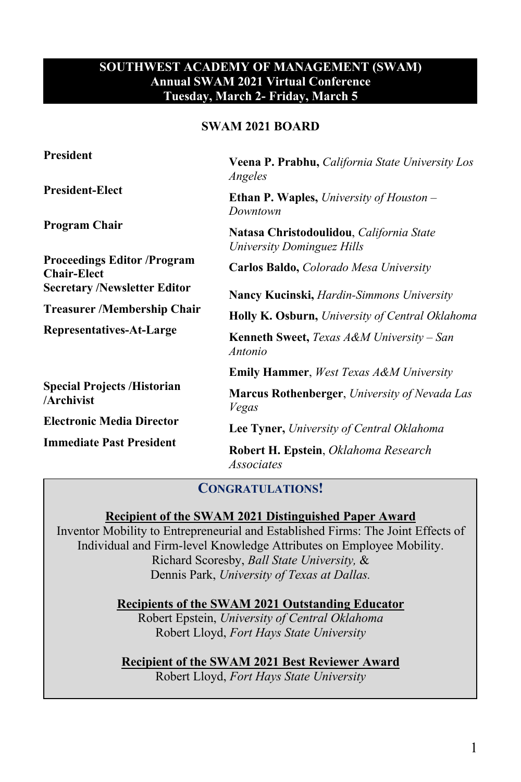### **SOUTHWEST ACADEMY OF MANAGEMENT (SWAM) Annual SWAM 2021 Virtual Conference Tuesday, March 2- Friday, March 5**

### **SWAM 2021 BOARD**

| President                                                                                                                                                | Veena P. Prabhu, California State University Los<br>Angeles            |
|----------------------------------------------------------------------------------------------------------------------------------------------------------|------------------------------------------------------------------------|
| <b>President-Elect</b>                                                                                                                                   | <b>Ethan P. Waples,</b> University of Houston $-$<br>Downtown          |
| Program Chair                                                                                                                                            | Natasa Christodoulidou, California State<br>University Dominguez Hills |
| <b>Proceedings Editor /Program</b><br><b>Chair-Elect</b>                                                                                                 | <b>Carlos Baldo, Colorado Mesa University</b>                          |
| <b>Secretary /Newsletter Editor</b><br><b>Treasurer/Membership Chair</b><br>Representatives-At-Large<br><b>Special Projects /Historian</b><br>/Archivist | <b>Nancy Kucinski, <i>Hardin-Simmons University</i></b>                |
|                                                                                                                                                          | Holly K. Osburn, University of Central Oklahoma                        |
|                                                                                                                                                          | <b>Kenneth Sweet,</b> Texas $A\&M$ University – San<br>Antonio         |
|                                                                                                                                                          | <b>Emily Hammer</b> , West Texas A&M University                        |
|                                                                                                                                                          | <b>Marcus Rothenberger, University of Nevada Las</b><br>Vegas          |
| <b>Electronic Media Director</b>                                                                                                                         | <b>Lee Tyner, University of Central Oklahoma</b>                       |
| <b>Immediate Past President</b>                                                                                                                          | Robert H. Epstein, Oklahoma Research<br>Associates                     |

### **CONGRATULATIONS!**

### **Recipient of the SWAM 2021 Distinguished Paper Award**

Inventor Mobility to Entrepreneurial and Established Firms: The Joint Effects of Individual and Firm-level Knowledge Attributes on Employee Mobility. Richard Scoresby, *Ball State University,* & Dennis Park, *University of Texas at Dallas.* 

> **Recipients of the SWAM 2021 Outstanding Educator** Robert Epstein, *University of Central Oklahoma* Robert Lloyd, *Fort Hays State University*

**Recipient of the SWAM 2021 Best Reviewer Award** Robert Lloyd, *Fort Hays State University*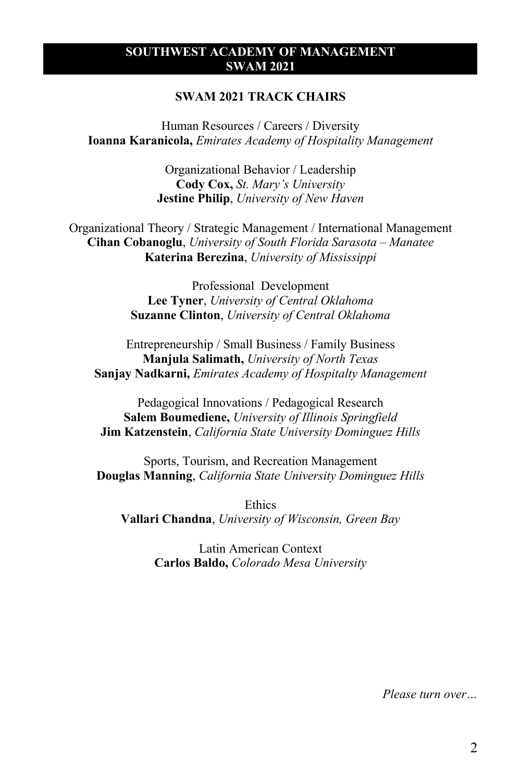#### **SOUTHWEST ACADEMY OF MANAGEMENT SWAM 2021**

#### **SWAM 2021 TRACK CHAIRS**

Human Resources / Careers / Diversity **Ioanna Karanicola,** *Emirates Academy of Hospitality Management*

> Organizational Behavior / Leadership **Cody Cox,** *St. Mary's University* **Jestine Philip**, *University of New Haven*

Organizational Theory / Strategic Management / International Management **Cihan Cobanoglu**, *University of South Florida Sarasota – Manatee* **Katerina Berezina**, *University of Mississippi*

> Professional Development **Lee Tyner**, *University of Central Oklahoma* **Suzanne Clinton**, *University of Central Oklahoma*

Entrepreneurship / Small Business / Family Business **Manjula Salimath,** *University of North Texas* **Sanjay Nadkarni,** *Emirates Academy of Hospitalty Management*

Pedagogical Innovations / Pedagogical Research **Salem Boumediene,** *University of Illinois Springfield* **Jim Katzenstein**, *California State University Dominguez Hills*

Sports, Tourism, and Recreation Management **Douglas Manning**, *California State University Dominguez Hills*

Ethics **Vallari Chandna**, *University of Wisconsin, Green Bay*

> Latin American Context **Carlos Baldo,** *Colorado Mesa University*

> > *Please turn over…*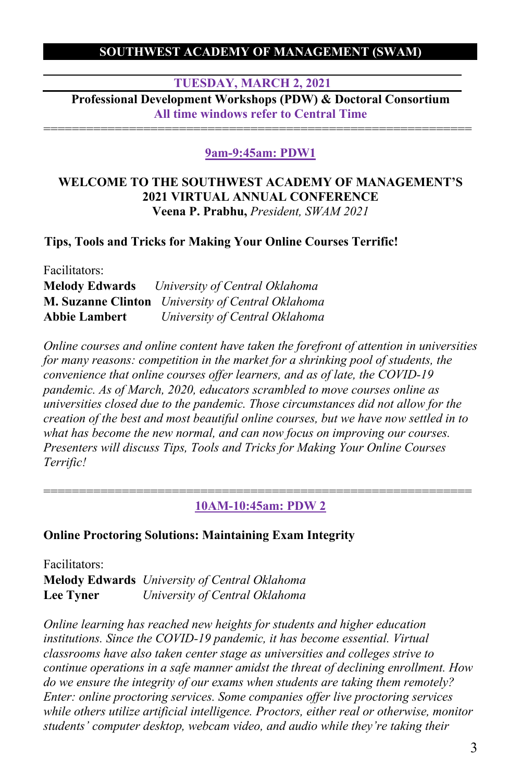### **SOUTHWEST ACADEMY OF MANAGEMENT (SWAM)**

**TUESDAY, MARCH 2, 2021**

**Professional Development Workshops (PDW) & Doctoral Consortium All time windows refer to Central Time** ============================================================

### **9am-9:45am: PDW1**

#### **WELCOME TO THE SOUTHWEST ACADEMY OF MANAGEMENT'S 2021 VIRTUAL ANNUAL CONFERENCE Veena P. Prabhu,** *President, SWAM 2021*

#### **Tips, Tools and Tricks for Making Your Online Courses Terrific!**

| Facilitators:        |                                                          |
|----------------------|----------------------------------------------------------|
|                      | <b>Melody Edwards</b> University of Central Oklahoma     |
|                      | <b>M. Suzanne Clinton</b> University of Central Oklahoma |
| <b>Abbie Lambert</b> | University of Central Oklahoma                           |

*Online courses and online content have taken the forefront of attention in universities for many reasons: competition in the market for a shrinking pool of students, the convenience that online courses offer learners, and as of late, the COVID-19 pandemic. As of March, 2020, educators scrambled to move courses online as universities closed due to the pandemic. Those circumstances did not allow for the creation of the best and most beautiful online courses, but we have now settled in to what has become the new normal, and can now focus on improving our courses. Presenters will discuss Tips, Tools and Tricks for Making Your Online Courses Terrific!*

============================================================ **10AM-10:45am: PDW 2**

### **Online Proctoring Solutions: Maintaining Exam Integrity**

Facilitators: **Melody Edwards** *University of Central Oklahoma* **Lee Tyner** *University of Central Oklahoma*

*Online learning has reached new heights for students and higher education institutions. Since the COVID-19 pandemic, it has become essential. Virtual classrooms have also taken center stage as universities and colleges strive to continue operations in a safe manner amidst the threat of declining enrollment. How do we ensure the integrity of our exams when students are taking them remotely? Enter: online proctoring services. Some companies offer live proctoring services while others utilize artificial intelligence. Proctors, either real or otherwise, monitor students' computer desktop, webcam video, and audio while they're taking their*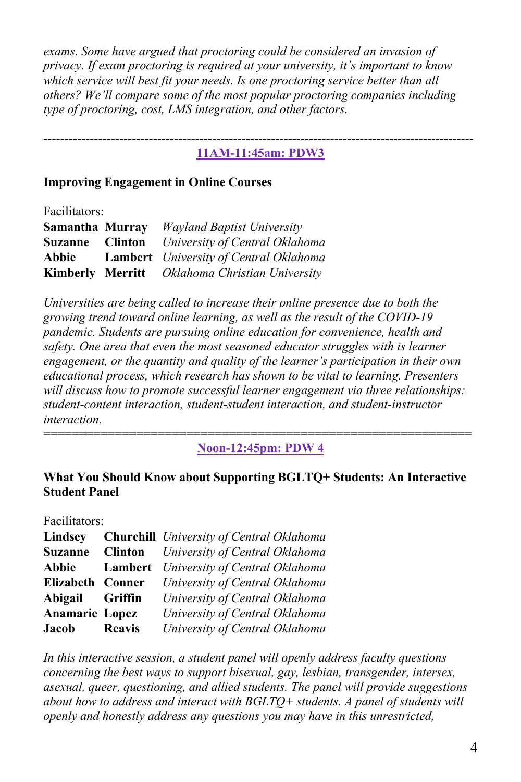*exams. Some have argued that proctoring could be considered an invasion of privacy. If exam proctoring is required at your university, it's important to know which service will best fit your needs. Is one proctoring service better than all others? We'll compare some of the most popular proctoring companies including type of proctoring, cost, LMS integration, and other factors.*

#### ------------------------------------------------------------------------------------------------------ **11AM-11:45am: PDW3**

#### **Improving Engagement in Online Courses**

Facilitators:

| Samantha Murray | <b>Wayland Baptist University</b>              |
|-----------------|------------------------------------------------|
| Suzanne Clinton | University of Central Oklahoma                 |
| Abbie           | <b>Lambert</b> University of Central Oklahoma  |
|                 | Kimberly Merritt Oklahoma Christian University |

*Universities are being called to increase their online presence due to both the growing trend toward online learning, as well as the result of the COVID-19 pandemic. Students are pursuing online education for convenience, health and*  safety. One area that even the most seasoned educator struggles with is learner *engagement, or the quantity and quality of the learner's participation in their own educational process, which research has shown to be vital to learning. Presenters will discuss how to promote successful learner engagement via three relationships: student-content interaction, student-student interaction, and student-instructor interaction.*

============================================================ **Noon-12:45pm: PDW 4**

#### **What You Should Know about Supporting BGLTQ+ Students: An Interactive Student Panel**

Facilitators:

| Lindsey               |               | <b>Churchill</b> University of Central Oklahoma |
|-----------------------|---------------|-------------------------------------------------|
| <b>Suzanne</b>        |               | <b>Clinton</b> University of Central Oklahoma   |
| Abbie                 |               | Lambert University of Central Oklahoma          |
| Elizabeth Conner      |               | University of Central Oklahoma                  |
| Abigail Griffin       |               | University of Central Oklahoma                  |
| <b>Anamarie Lopez</b> |               | University of Central Oklahoma                  |
| <b>Jacob</b>          | <b>Reavis</b> | University of Central Oklahoma                  |

*In this interactive session, a student panel will openly address faculty questions concerning the best ways to support bisexual, gay, lesbian, transgender, intersex, asexual, queer, questioning, and allied students. The panel will provide suggestions about how to address and interact with BGLTQ+ students. A panel of students will openly and honestly address any questions you may have in this unrestricted,*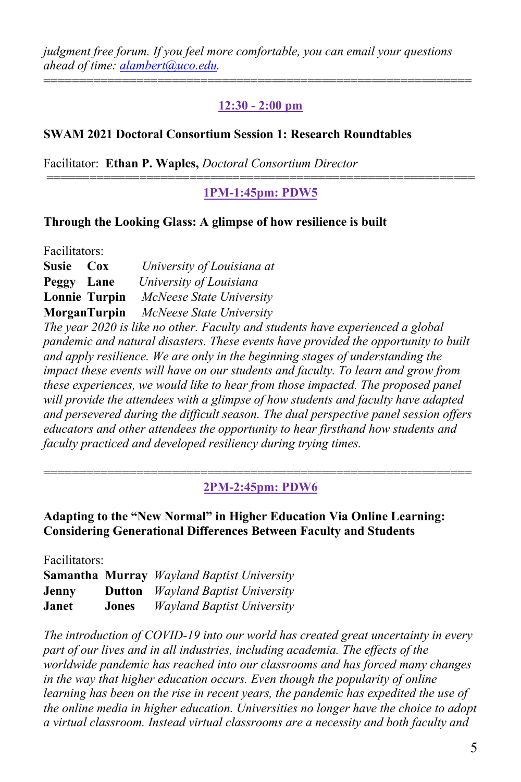*judgment free forum. If you feel more comfortable, you can email your questions ahead of time: alambert@uco.edu.*

### **12:30 - 2:00 pm**

============================================================

### **SWAM 2021 Doctoral Consortium Session 1: Research Roundtables**

Facilitator: **Ethan P. Waples,** *Doctoral Consortium Director*

### ============================================================ **1PM-1:45pm: PDW5**

#### **Through the Looking Glass: A glimpse of how resilience is built**

Facilitators: **Susie Cox** *University of Louisiana at*  **Peggy Lane** *University of Louisiana* **Lonnie Turpin** *McNeese State University* **MorganTurpin** *McNeese State University The year 2020 is like no other. Faculty and students have experienced a global pandemic and natural disasters. These events have provided the opportunity to built and apply resilience. We are only in the beginning stages of understanding the impact these events will have on our students and faculty. To learn and grow from these experiences, we would like to hear from those impacted. The proposed panel will provide the attendees with a glimpse of how students and faculty have adapted and persevered during the difficult season. The dual perspective panel session offers educators and other attendees the opportunity to hear firsthand how students and faculty practiced and developed resiliency during trying times.*

#### ============================================================ **2PM-2:45pm: PDW6**

**Adapting to the "New Normal" in Higher Education Via Online Learning: Considering Generational Differences Between Faculty and Students**

Facilitators:

**Samantha Murray** *Wayland Baptist University* **Jenny Dutton** *Wayland Baptist University* **Janet Jones** *Wayland Baptist University*

*The introduction of COVID-19 into our world has created great uncertainty in every part of our lives and in all industries, including academia. The effects of the worldwide pandemic has reached into our classrooms and has forced many changes in the way that higher education occurs. Even though the popularity of online learning has been on the rise in recent years, the pandemic has expedited the use of the online media in higher education. Universities no longer have the choice to adopt a virtual classroom. Instead virtual classrooms are a necessity and both faculty and*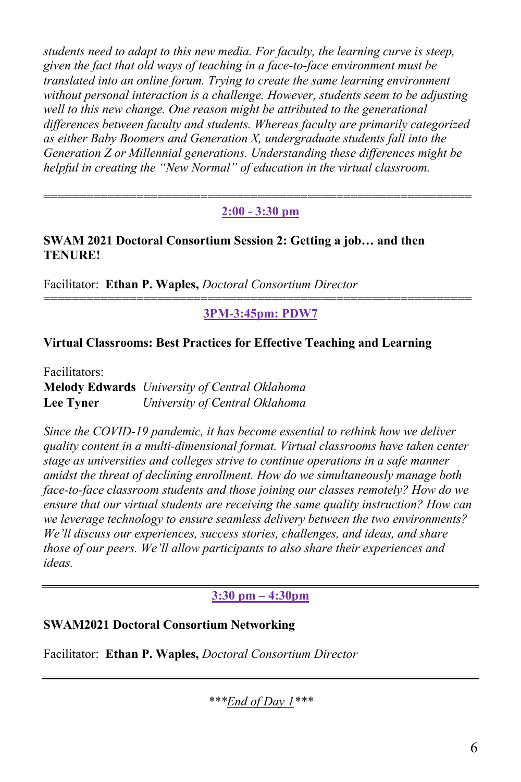*students need to adapt to this new media. For faculty, the learning curve is steep, given the fact that old ways of teaching in a face-to-face environment must be translated into an online forum. Trying to create the same learning environment without personal interaction is a challenge. However, students seem to be adjusting*  well to this new change. One reason might be attributed to the generational *differences between faculty and students. Whereas faculty are primarily categorized as either Baby Boomers and Generation X, undergraduate students fall into the Generation Z or Millennial generations. Understanding these differences might be helpful in creating the "New Normal" of education in the virtual classroom.*

#### ============================================================ **2:00 - 3:30 pm**

### **SWAM 2021 Doctoral Consortium Session 2: Getting a job… and then TENURE!**

Facilitator: **Ethan P. Waples,** *Doctoral Consortium Director*

#### ============================================================ **3PM-3:45pm: PDW7**

### **Virtual Classrooms: Best Practices for Effective Teaching and Learning**

Facilitators: **Melody Edwards** *University of Central Oklahoma* **Lee Tyner** *University of Central Oklahoma*

*Since the COVID-19 pandemic, it has become essential to rethink how we deliver quality content in a multi-dimensional format. Virtual classrooms have taken center stage as universities and colleges strive to continue operations in a safe manner amidst the threat of declining enrollment. How do we simultaneously manage both face-to-face classroom students and those joining our classes remotely? How do we ensure that our virtual students are receiving the same quality instruction? How can we leverage technology to ensure seamless delivery between the two environments? We'll discuss our experiences, success stories, challenges, and ideas, and share those of our peers. We'll allow participants to also share their experiences and ideas.*

### **3:30 pm – 4:30pm**

### **SWAM2021 Doctoral Consortium Networking**

Facilitator: **Ethan P. Waples,** *Doctoral Consortium Director*

*\*\*\*End of Day 1\*\*\**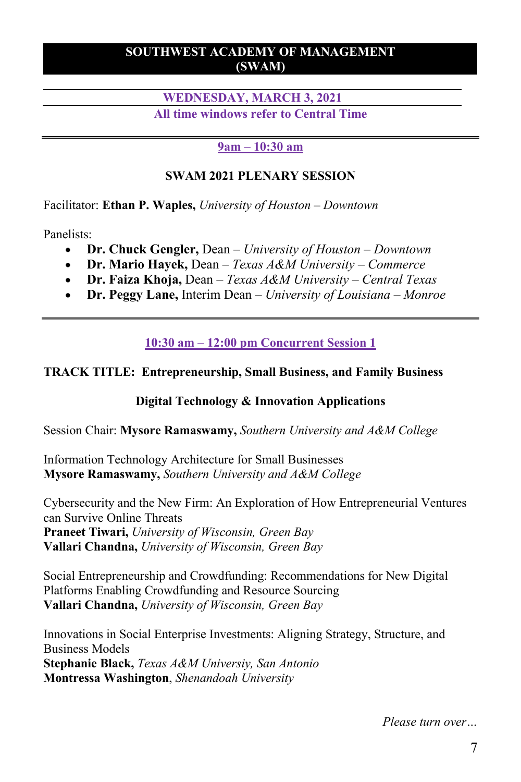### **SOUTHWEST ACADEMY OF MANAGEMENT (SWAM)**

### **WEDNESDAY, MARCH 3, 2021 All time windows refer to Central Time**

### **9am – 10:30 am**

### **SWAM 2021 PLENARY SESSION**

Facilitator: **Ethan P. Waples,** *University of Houston – Downtown*

Panelists:

- **Dr. Chuck Gengler,** Dean *– University of Houston – Downtown*
- **Dr. Mario Hayek,** Dean *– Texas A&M University – Commerce*
- **Dr. Faiza Khoja,** Dean *– Texas A&M University – Central Texas*
- **Dr. Peggy Lane,** Interim Dean *– University of Louisiana – Monroe*

**10:30 am – 12:00 pm Concurrent Session 1**

## **TRACK TITLE: Entrepreneurship, Small Business, and Family Business**

## **Digital Technology & Innovation Applications**

Session Chair: **Mysore Ramaswamy,** *Southern University and A&M College*

Information Technology Architecture for Small Businesses **Mysore Ramaswamy,** *Southern University and A&M College*

Cybersecurity and the New Firm: An Exploration of How Entrepreneurial Ventures can Survive Online Threats **Praneet Tiwari,** *University of Wisconsin, Green Bay* **Vallari Chandna,** *University of Wisconsin, Green Bay*

Social Entrepreneurship and Crowdfunding: Recommendations for New Digital Platforms Enabling Crowdfunding and Resource Sourcing **Vallari Chandna,** *University of Wisconsin, Green Bay*

Innovations in Social Enterprise Investments: Aligning Strategy, Structure, and Business Models **Stephanie Black,** *Texas A&M Universiy, San Antonio* **Montressa Washington**, *Shenandoah University*

*Please turn over…*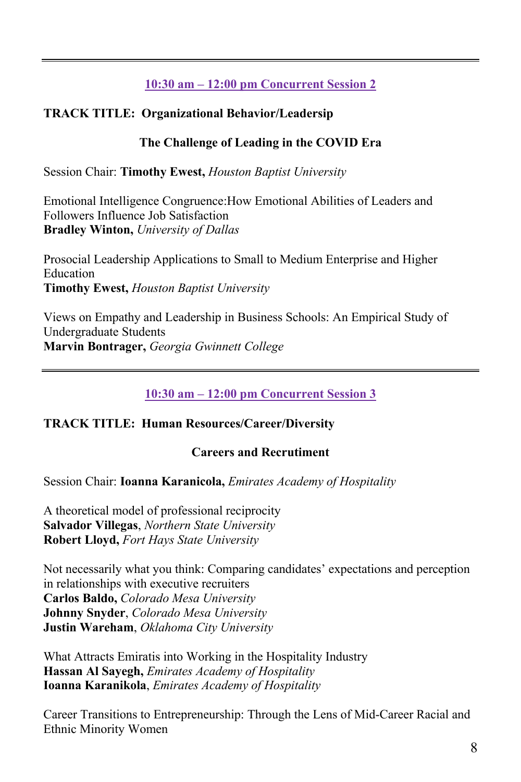# **10:30 am – 12:00 pm Concurrent Session 2**

# **TRACK TITLE: Organizational Behavior/Leadersip**

## **The Challenge of Leading in the COVID Era**

Session Chair: **Timothy Ewest,** *Houston Baptist University*

Emotional Intelligence Congruence:How Emotional Abilities of Leaders and Followers Influence Job Satisfaction **Bradley Winton,** *University of Dallas*

Prosocial Leadership Applications to Small to Medium Enterprise and Higher Education **Timothy Ewest,** *Houston Baptist University*

Views on Empathy and Leadership in Business Schools: An Empirical Study of Undergraduate Students **Marvin Bontrager,** *Georgia Gwinnett College*

## **10:30 am – 12:00 pm Concurrent Session 3**

## **TRACK TITLE: Human Resources/Career/Diversity**

### **Careers and Recrutiment**

### Session Chair: **Ioanna Karanicola,** *Emirates Academy of Hospitality*

A theoretical model of professional reciprocity **Salvador Villegas**, *Northern State University* **Robert Lloyd,** *Fort Hays State University*

Not necessarily what you think: Comparing candidates' expectations and perception in relationships with executive recruiters **Carlos Baldo,** *Colorado Mesa University* **Johnny Snyder**, *Colorado Mesa University* **Justin Wareham**, *Oklahoma City University*

What Attracts Emiratis into Working in the Hospitality Industry **Hassan Al Sayegh,** *Emirates Academy of Hospitality* **Ioanna Karanikola**, *Emirates Academy of Hospitality*

Career Transitions to Entrepreneurship: Through the Lens of Mid-Career Racial and Ethnic Minority Women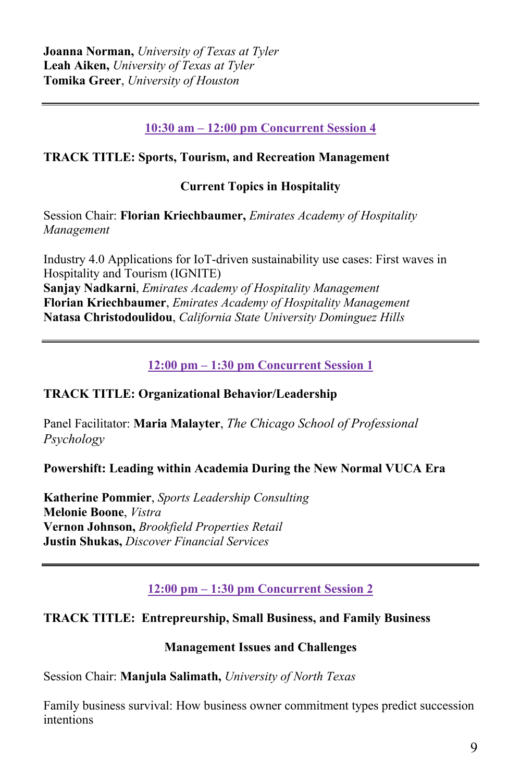## **10:30 am – 12:00 pm Concurrent Session 4**

## **TRACK TITLE: Sports, Tourism, and Recreation Management**

## **Current Topics in Hospitality**

Session Chair: **Florian Kriechbaumer,** *Emirates Academy of Hospitality Management*

Industry 4.0 Applications for IoT-driven sustainability use cases: First waves in Hospitality and Tourism (IGNITE) **Sanjay Nadkarni**, *Emirates Academy of Hospitality Management* **Florian Kriechbaumer**, *Emirates Academy of Hospitality Management* **Natasa Christodoulidou**, *California State University Dominguez Hills*

**12:00 pm – 1:30 pm Concurrent Session 1**

## **TRACK TITLE: Organizational Behavior/Leadership**

Panel Facilitator: **Maria Malayter**, *The Chicago School of Professional Psychology*

**Powershift: Leading within Academia During the New Normal VUCA Era**

**Katherine Pommier**, *Sports Leadership Consulting* **Melonie Boone**, *Vistra*  **Vernon Johnson,** *Brookfield Properties Retail* **Justin Shukas,** *Discover Financial Services*

**12:00 pm – 1:30 pm Concurrent Session 2**

## **TRACK TITLE: Entrepreurship, Small Business, and Family Business**

### **Management Issues and Challenges**

Session Chair: **Manjula Salimath,** *University of North Texas*

Family business survival: How business owner commitment types predict succession intentions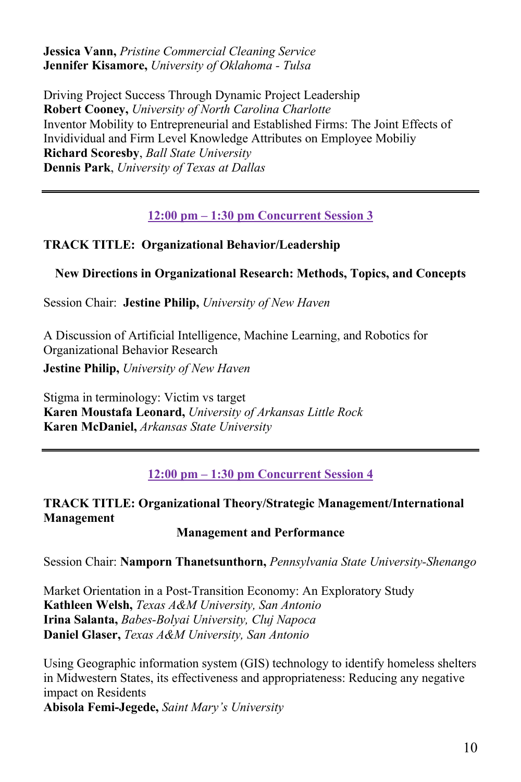**Jessica Vann,** *Pristine Commercial Cleaning Service* **Jennifer Kisamore,** *University of Oklahoma - Tulsa*

Driving Project Success Through Dynamic Project Leadership **Robert Cooney,** *University of North Carolina Charlotte* Inventor Mobility to Entrepreneurial and Established Firms: The Joint Effects of Invidividual and Firm Level Knowledge Attributes on Employee Mobiliy **Richard Scoresby**, *Ball State University* **Dennis Park**, *University of Texas at Dallas*

**12:00 pm – 1:30 pm Concurrent Session 3**

## **TRACK TITLE: Organizational Behavior/Leadership**

### **New Directions in Organizational Research: Methods, Topics, and Concepts**

Session Chair: **Jestine Philip,** *University of New Haven*

A Discussion of Artificial Intelligence, Machine Learning, and Robotics for Organizational Behavior Research

**Jestine Philip,** *University of New Haven*

Stigma in terminology: Victim vs target **Karen Moustafa Leonard,** *University of Arkansas Little Rock* **Karen McDaniel,** *Arkansas State University*

**12:00 pm – 1:30 pm Concurrent Session 4**

## **TRACK TITLE: Organizational Theory/Strategic Management/International Management**

### **Management and Performance**

Session Chair: **Namporn Thanetsunthorn,** *Pennsylvania State University-Shenango*

Market Orientation in a Post-Transition Economy: An Exploratory Study **Kathleen Welsh,** *Texas A&M University, San Antonio* **Irina Salanta,** *Babes-Bolyai University, Cluj Napoca* **Daniel Glaser,** *Texas A&M University, San Antonio*

Using Geographic information system (GIS) technology to identify homeless shelters in Midwestern States, its effectiveness and appropriateness: Reducing any negative impact on Residents **Abisola Femi-Jegede,** *Saint Mary's University*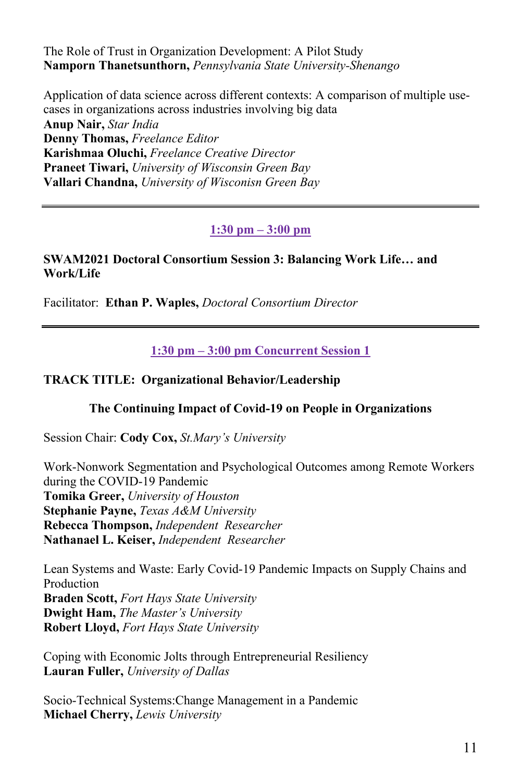The Role of Trust in Organization Development: A Pilot Study **Namporn Thanetsunthorn,** *Pennsylvania State University-Shenango*

Application of data science across different contexts: A comparison of multiple usecases in organizations across industries involving big data **Anup Nair,** *Star India* **Denny Thomas,** *Freelance Editor* **Karishmaa Oluchi,** *Freelance Creative Director* **Praneet Tiwari,** *University of Wisconsin Green Bay* **Vallari Chandna,** *University of Wisconisn Green Bay*

## **1:30 pm – 3:00 pm**

#### **SWAM2021 Doctoral Consortium Session 3: Balancing Work Life… and Work/Life**

Facilitator: **Ethan P. Waples,** *Doctoral Consortium Director*

**1:30 pm – 3:00 pm Concurrent Session 1**

### **TRACK TITLE: Organizational Behavior/Leadership**

### **The Continuing Impact of Covid-19 on People in Organizations**

Session Chair: **Cody Cox,** *St.Mary's University*

Work-Nonwork Segmentation and Psychological Outcomes among Remote Workers during the COVID-19 Pandemic **Tomika Greer,** *University of Houston* **Stephanie Payne,** *Texas A&M University* **Rebecca Thompson,** *Independent Researcher* **Nathanael L. Keiser,** *Independent Researcher*

Lean Systems and Waste: Early Covid-19 Pandemic Impacts on Supply Chains and **Production Braden Scott,** *Fort Hays State University* **Dwight Ham,** *The Master's University* **Robert Lloyd,** *Fort Hays State University*

Coping with Economic Jolts through Entrepreneurial Resiliency **Lauran Fuller,** *University of Dallas*

Socio-Technical Systems:Change Management in a Pandemic **Michael Cherry,** *Lewis University*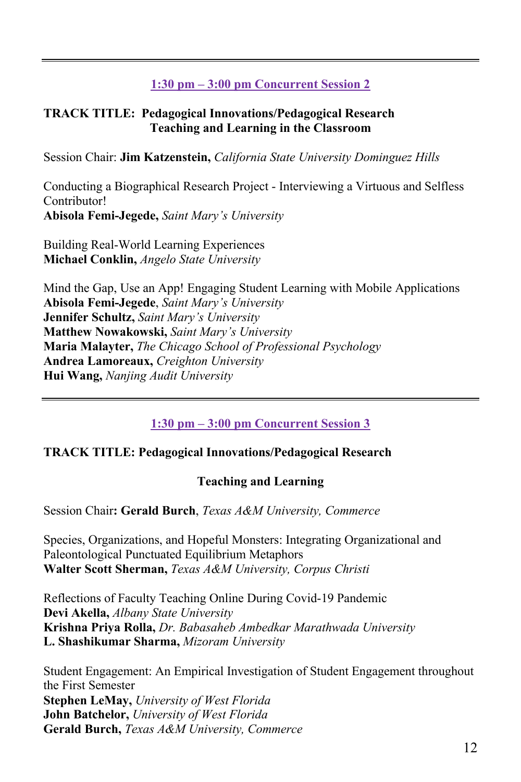# **1:30 pm – 3:00 pm Concurrent Session 2**

### **TRACK TITLE: Pedagogical Innovations/Pedagogical Research Teaching and Learning in the Classroom**

Session Chair: **Jim Katzenstein,** *California State University Dominguez Hills*

Conducting a Biographical Research Project - Interviewing a Virtuous and Selfless Contributor! **Abisola Femi-Jegede,** *Saint Mary's University*

Building Real-World Learning Experiences **Michael Conklin,** *Angelo State University*

Mind the Gap, Use an App! Engaging Student Learning with Mobile Applications **Abisola Femi-Jegede**, *Saint Mary's University* **Jennifer Schultz,** *Saint Mary's University* **Matthew Nowakowski,** *Saint Mary's University* **Maria Malayter,** *The Chicago School of Professional Psychology* **Andrea Lamoreaux,** *Creighton University* **Hui Wang,** *Nanjing Audit University*

# **1:30 pm – 3:00 pm Concurrent Session 3**

## **TRACK TITLE: Pedagogical Innovations/Pedagogical Research**

## **Teaching and Learning**

Session Chair**: Gerald Burch**, *Texas A&M University, Commerce*

Species, Organizations, and Hopeful Monsters: Integrating Organizational and Paleontological Punctuated Equilibrium Metaphors **Walter Scott Sherman,** *Texas A&M University, Corpus Christi*

Reflections of Faculty Teaching Online During Covid-19 Pandemic **Devi Akella,** *Albany State University* **Krishna Priya Rolla,** *Dr. Babasaheb Ambedkar Marathwada University* **L. Shashikumar Sharma,** *Mizoram University*

Student Engagement: An Empirical Investigation of Student Engagement throughout the First Semester **Stephen LeMay,** *University of West Florida* **John Batchelor,** *University of West Florida* **Gerald Burch,** *Texas A&M University, Commerce*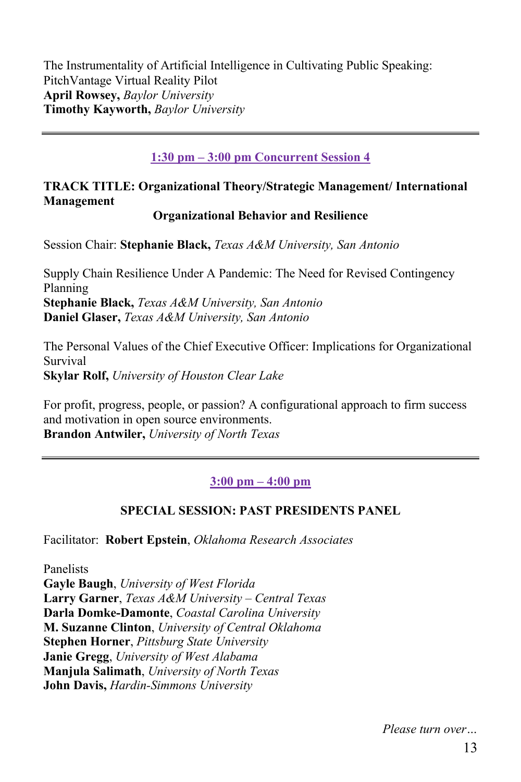The Instrumentality of Artificial Intelligence in Cultivating Public Speaking: PitchVantage Virtual Reality Pilot **April Rowsey,** *Baylor University* **Timothy Kayworth,** *Baylor University*

### **1:30 pm – 3:00 pm Concurrent Session 4**

## **TRACK TITLE: Organizational Theory/Strategic Management/ International Management**

#### **Organizational Behavior and Resilience**

Session Chair: **Stephanie Black,** *Texas A&M University, San Antonio*

Supply Chain Resilience Under A Pandemic: The Need for Revised Contingency Planning **Stephanie Black,** *Texas A&M University, San Antonio* **Daniel Glaser,** *Texas A&M University, San Antonio*

The Personal Values of the Chief Executive Officer: Implications for Organizational Survival **Skylar Rolf,** *University of Houston Clear Lake*

For profit, progress, people, or passion? A configurational approach to firm success and motivation in open source environments. **Brandon Antwiler,** *University of North Texas*

### **3:00 pm – 4:00 pm**

### **SPECIAL SESSION: PAST PRESIDENTS PANEL**

Facilitator: **Robert Epstein**, *Oklahoma Research Associates* 

Panelists **Gayle Baugh**, *University of West Florida* **Larry Garner**, *Texas A&M University – Central Texas* **Darla Domke-Damonte**, *Coastal Carolina University* **M. Suzanne Clinton**, *University of Central Oklahoma* **Stephen Horner**, *Pittsburg State University* **Janie Gregg**, *University of West Alabama* **Manjula Salimath**, *University of North Texas* **John Davis,** *Hardin-Simmons University*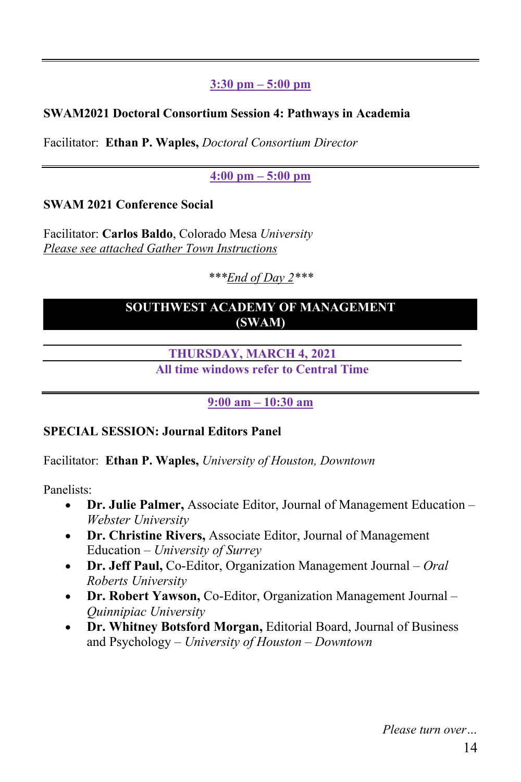## **3:30 pm – 5:00 pm**

## **SWAM2021 Doctoral Consortium Session 4: Pathways in Academia**

Facilitator: **Ethan P. Waples,** *Doctoral Consortium Director*

## **4:00 pm – 5:00 pm**

## **SWAM 2021 Conference Social**

Facilitator: **Carlos Baldo**, Colorado Mesa *University Please see attached Gather Town Instructions* 

*\*\*\*End of Day 2\*\*\**

## **SOUTHWEST ACADEMY OF MANAGEMENT (SWAM)**

**THURSDAY, MARCH 4, 2021**

**All time windows refer to Central Time**

**9:00 am – 10:30 am**

## **SPECIAL SESSION: Journal Editors Panel**

Facilitator: **Ethan P. Waples,** *University of Houston, Downtown*

Panelists:

- **Dr. Julie Palmer,** Associate Editor, Journal of Management Education *– Webster University*
- **Dr. Christine Rivers,** Associate Editor, Journal of Management Education – *University of Surrey*
- **Dr. Jeff Paul,** Co-Editor, Organization Management Journal *Oral Roberts University*
- **Dr. Robert Yawson,** Co-Editor, Organization Management Journal *Quinnipiac University*
- **Dr. Whitney Botsford Morgan,** Editorial Board, Journal of Business and Psychology – *University of Houston – Downtown*

*Please turn over…*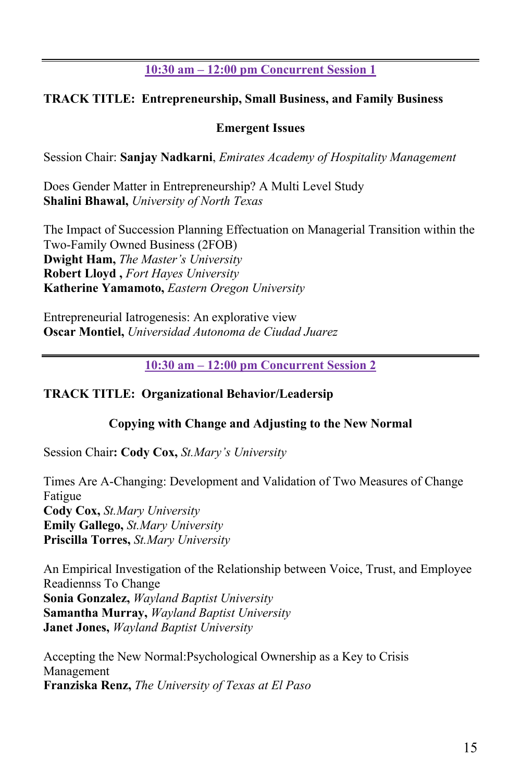## **10:30 am – 12:00 pm Concurrent Session 1**

### **TRACK TITLE: Entrepreneurship, Small Business, and Family Business**

#### **Emergent Issues**

Session Chair: **Sanjay Nadkarni**, *Emirates Academy of Hospitality Management*

Does Gender Matter in Entrepreneurship? A Multi Level Study **Shalini Bhawal,** *University of North Texas*

The Impact of Succession Planning Effectuation on Managerial Transition within the Two-Family Owned Business (2FOB) **Dwight Ham,** *The Master's University* **Robert Lloyd ,** *Fort Hayes University* **Katherine Yamamoto,** *Eastern Oregon University*

Entrepreneurial Iatrogenesis: An explorative view **Oscar Montiel,** *Universidad Autonoma de Ciudad Juarez*

**10:30 am – 12:00 pm Concurrent Session 2**

### **TRACK TITLE: Organizational Behavior/Leadersip**

### **Copying with Change and Adjusting to the New Normal**

Session Chair**: Cody Cox,** *St.Mary's University*

Times Are A-Changing: Development and Validation of Two Measures of Change Fatigue **Cody Cox,** *St.Mary University* **Emily Gallego,** *St.Mary University* **Priscilla Torres,** *St.Mary University*

An Empirical Investigation of the Relationship between Voice, Trust, and Employee Readiennss To Change **Sonia Gonzalez,** *Wayland Baptist University* **Samantha Murray,** *Wayland Baptist University* **Janet Jones,** *Wayland Baptist University*

Accepting the New Normal:Psychological Ownership as a Key to Crisis Management **Franziska Renz,** *The University of Texas at El Paso*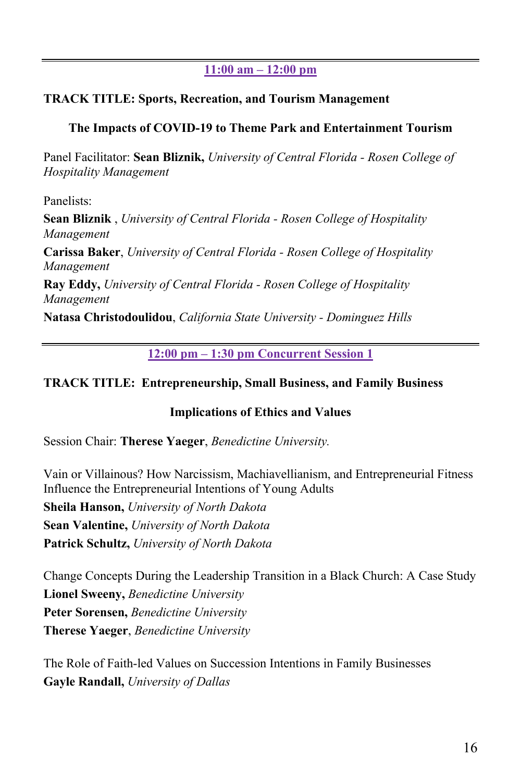## **11:00 am – 12:00 pm**

#### **TRACK TITLE: Sports, Recreation, and Tourism Management**

### **The Impacts of COVID-19 to Theme Park and Entertainment Tourism**

Panel Facilitator: **Sean Bliznik,** *University of Central Florida - Rosen College of Hospitality Management*

Panelists:

**Sean Bliznik** , *University of Central Florida - Rosen College of Hospitality Management* 

**Carissa Baker**, *University of Central Florida - Rosen College of Hospitality Management* 

**Ray Eddy,** *University of Central Florida - Rosen College of Hospitality Management* 

**Natasa Christodoulidou**, *California State University - Dominguez Hills* 

**12:00 pm – 1:30 pm Concurrent Session 1** 

### **TRACK TITLE: Entrepreneurship, Small Business, and Family Business**

### **Implications of Ethics and Values**

Session Chair: **Therese Yaeger**, *Benedictine University.* 

Vain or Villainous? How Narcissism, Machiavellianism, and Entrepreneurial Fitness Influence the Entrepreneurial Intentions of Young Adults

**Sheila Hanson,** *University of North Dakota* **Sean Valentine,** *University of North Dakota* **Patrick Schultz,** *University of North Dakota*

Change Concepts During the Leadership Transition in a Black Church: A Case Study **Lionel Sweeny,** *Benedictine University* **Peter Sorensen,** *Benedictine University* **Therese Yaeger**, *Benedictine University*

The Role of Faith-led Values on Succession Intentions in Family Businesses **Gayle Randall,** *University of Dallas*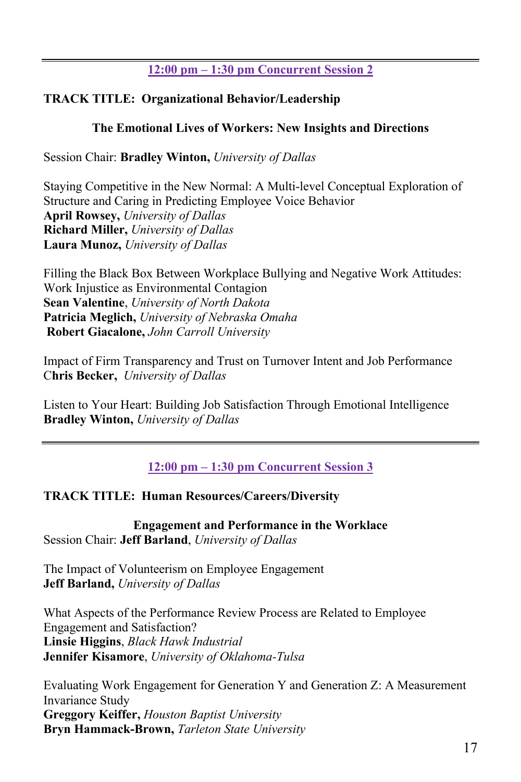## **12:00 pm – 1:30 pm Concurrent Session 2**

## **TRACK TITLE: Organizational Behavior/Leadership**

### **The Emotional Lives of Workers: New Insights and Directions**

Session Chair: **Bradley Winton,** *University of Dallas*

Staying Competitive in the New Normal: A Multi-level Conceptual Exploration of Structure and Caring in Predicting Employee Voice Behavior **April Rowsey,** *University of Dallas* **Richard Miller,** *University of Dallas* **Laura Munoz,** *University of Dallas*

Filling the Black Box Between Workplace Bullying and Negative Work Attitudes: Work Injustice as Environmental Contagion **Sean Valentine**, *University of North Dakota* **Patricia Meglich,** *University of Nebraska Omaha* **Robert Giacalone,** *John Carroll University*

Impact of Firm Transparency and Trust on Turnover Intent and Job Performance C**hris Becker,** *University of Dallas*

Listen to Your Heart: Building Job Satisfaction Through Emotional Intelligence **Bradley Winton,** *University of Dallas*

**12:00 pm – 1:30 pm Concurrent Session 3**

## **TRACK TITLE: Human Resources/Careers/Diversity**

**Engagement and Performance in the Worklace** Session Chair: **Jeff Barland**, *University of Dallas*

The Impact of Volunteerism on Employee Engagement **Jeff Barland,** *University of Dallas*

What Aspects of the Performance Review Process are Related to Employee Engagement and Satisfaction? **Linsie Higgins**, *Black Hawk Industrial* **Jennifer Kisamore**, *University of Oklahoma-Tulsa*

Evaluating Work Engagement for Generation Y and Generation Z: A Measurement Invariance Study **Greggory Keiffer,** *Houston Baptist University* **Bryn Hammack-Brown,** *Tarleton State University*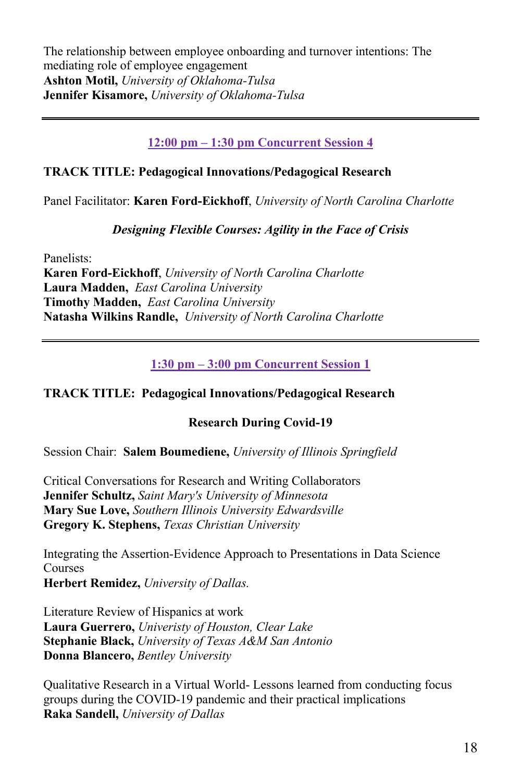The relationship between employee onboarding and turnover intentions: The mediating role of employee engagement **Ashton Motil,** *University of Oklahoma-Tulsa* **Jennifer Kisamore,** *University of Oklahoma-Tulsa*

### **12:00 pm – 1:30 pm Concurrent Session 4**

### **TRACK TITLE: Pedagogical Innovations/Pedagogical Research**

Panel Facilitator: **Karen Ford-Eickhoff**, *University of North Carolina Charlotte*

### *Designing Flexible Courses: Agility in the Face of Crisis*

Panelists:

**Karen Ford-Eickhoff**, *University of North Carolina Charlotte* **Laura Madden,** *East Carolina University* **Timothy Madden,** *East Carolina University* **Natasha Wilkins Randle,** *University of North Carolina Charlotte*

**1:30 pm – 3:00 pm Concurrent Session 1**

### **TRACK TITLE: Pedagogical Innovations/Pedagogical Research**

### **Research During Covid-19**

Session Chair: **Salem Boumediene,** *University of Illinois Springfield*

Critical Conversations for Research and Writing Collaborators **Jennifer Schultz,** *Saint Mary's University of Minnesota* **Mary Sue Love,** *Southern Illinois University Edwardsville* **Gregory K. Stephens,** *Texas Christian University*

Integrating the Assertion-Evidence Approach to Presentations in Data Science Courses

**Herbert Remidez,** *University of Dallas.* 

Literature Review of Hispanics at work **Laura Guerrero,** *Univeristy of Houston, Clear Lake* **Stephanie Black,** *University of Texas A&M San Antonio* **Donna Blancero,** *Bentley University*

Qualitative Research in a Virtual World- Lessons learned from conducting focus groups during the COVID-19 pandemic and their practical implications **Raka Sandell,** *University of Dallas*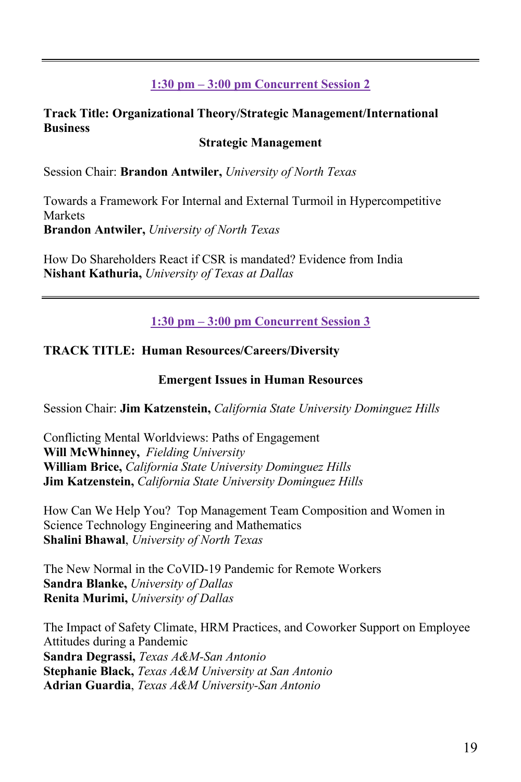# **1:30 pm – 3:00 pm Concurrent Session 2**

### **Track Title: Organizational Theory/Strategic Management/International Business**

### **Strategic Management**

Session Chair: **Brandon Antwiler,** *University of North Texas*

Towards a Framework For Internal and External Turmoil in Hypercompetitive Markets **Brandon Antwiler,** *University of North Texas*

How Do Shareholders React if CSR is mandated? Evidence from India **Nishant Kathuria,** *University of Texas at Dallas*

**1:30 pm – 3:00 pm Concurrent Session 3**

### **TRACK TITLE: Human Resources/Careers/Diversity**

#### **Emergent Issues in Human Resources**

Session Chair: **Jim Katzenstein,** *California State University Dominguez Hills*

Conflicting Mental Worldviews: Paths of Engagement **Will McWhinney,** *Fielding University* **William Brice,** *California State University Dominguez Hills* **Jim Katzenstein,** *California State University Dominguez Hills*

How Can We Help You? Top Management Team Composition and Women in Science Technology Engineering and Mathematics **Shalini Bhawal**, *University of North Texas*

The New Normal in the CoVID-19 Pandemic for Remote Workers **Sandra Blanke,** *University of Dallas* **Renita Murimi,** *University of Dallas*

The Impact of Safety Climate, HRM Practices, and Coworker Support on Employee Attitudes during a Pandemic **Sandra Degrassi,** *Texas A&M-San Antonio* **Stephanie Black,** *Texas A&M University at San Antonio* **Adrian Guardia**, *Texas A&M University-San Antonio*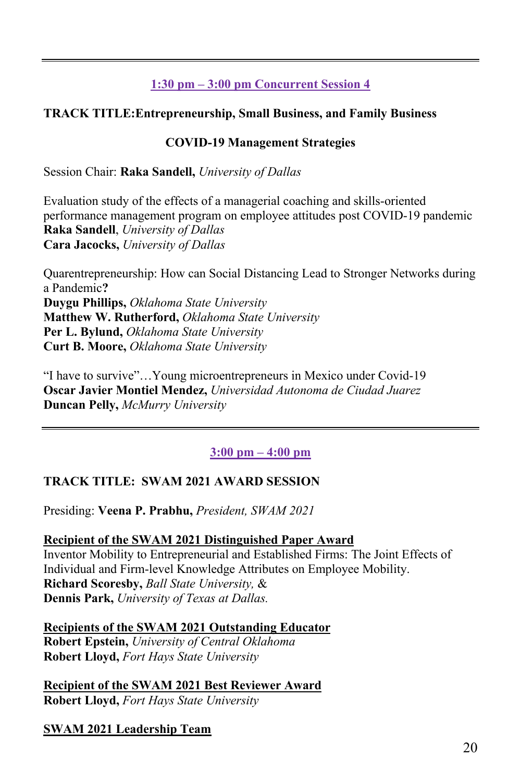# **1:30 pm – 3:00 pm Concurrent Session 4**

## **TRACK TITLE:Entrepreneurship, Small Business, and Family Business**

### **COVID-19 Management Strategies**

Session Chair: **Raka Sandell,** *University of Dallas*

Evaluation study of the effects of a managerial coaching and skills-oriented performance management program on employee attitudes post COVID-19 pandemic **Raka Sandell**, *University of Dallas* **Cara Jacocks,** *University of Dallas*

Quarentrepreneurship: How can Social Distancing Lead to Stronger Networks during a Pandemic**? Duygu Phillips,** *Oklahoma State University* **Matthew W. Rutherford,** *Oklahoma State University* **Per L. Bylund,** *Oklahoma State University* **Curt B. Moore,** *Oklahoma State University* 

"I have to survive"…Young microentrepreneurs in Mexico under Covid-19 **Oscar Javier Montiel Mendez,** *Universidad Autonoma de Ciudad Juarez* **Duncan Pelly,** *McMurry University*

## **3:00 pm – 4:00 pm**

## **TRACK TITLE: SWAM 2021 AWARD SESSION**

Presiding: **Veena P. Prabhu,** *President, SWAM 2021*

#### **Recipient of the SWAM 2021 Distinguished Paper Award** Inventor Mobility to Entrepreneurial and Established Firms: The Joint Effects of Individual and Firm-level Knowledge Attributes on Employee Mobility. **Richard Scoresby,** *Ball State University,* & **Dennis Park,** *University of Texas at Dallas.*

**Recipients of the SWAM 2021 Outstanding Educator Robert Epstein,** *University of Central Oklahoma* **Robert Lloyd,** *Fort Hays State University*

**Recipient of the SWAM 2021 Best Reviewer Award Robert Lloyd,** *Fort Hays State University*

**SWAM 2021 Leadership Team**